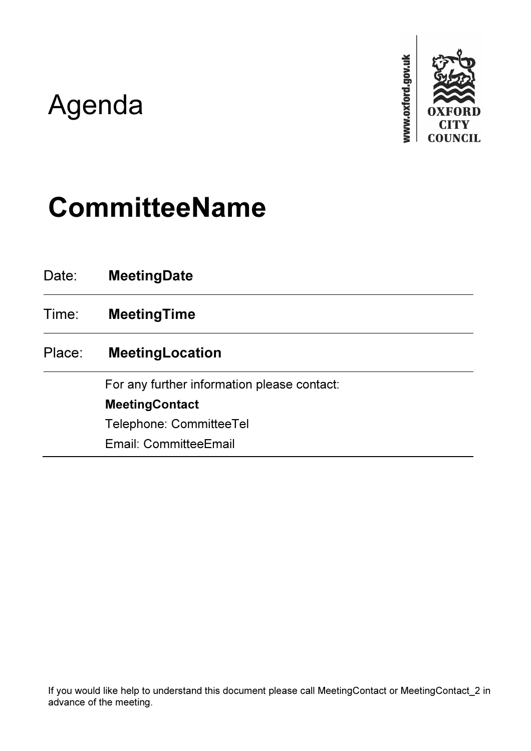## Agenda



# CommitteeName

| Date:  | <b>MeetingDate</b>                          |
|--------|---------------------------------------------|
| Time:  | <b>MeetingTime</b>                          |
| Place: | <b>MeetingLocation</b>                      |
|        | For any further information please contact: |
|        | <b>MeetingContact</b>                       |
|        | <b>Telephone: CommitteeTel</b>              |
|        | Email: CommitteeEmail                       |

If you would like help to understand this document please call MeetingContact or MeetingContact\_2 in advance of the meeting.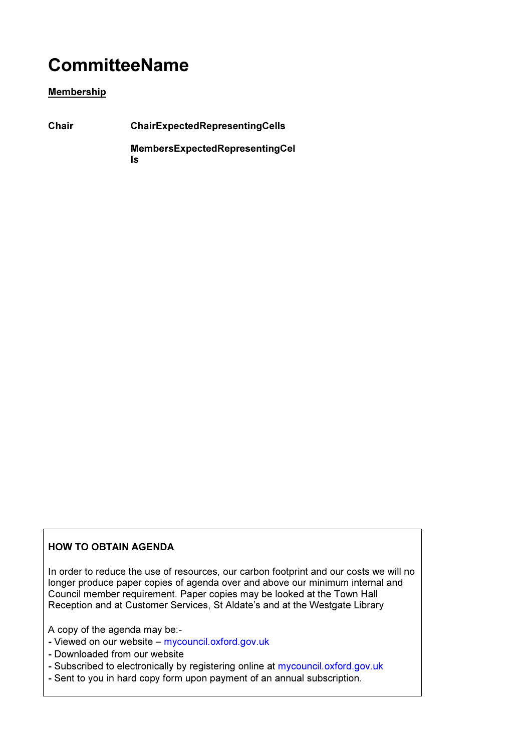### **CommitteeName**

#### Membership

Chair ChairExpectedRepresentingCells MembersExpectedRepresentingCel ls

#### HOW TO OBTAIN AGENDA

In order to reduce the use of resources, our carbon footprint and our costs we will no longer produce paper copies of agenda over and above our minimum internal and Council member requirement. Paper copies may be looked at the Town Hall Reception and at Customer Services, St Aldate's and at the Westgate Library

A copy of the agenda may be:-

- Viewed on our website mycouncil.oxford.gov.uk
- Downloaded from our website
- Subscribed to electronically by registering online at mycouncil.oxford.gov.uk
- Sent to you in hard copy form upon payment of an annual subscription.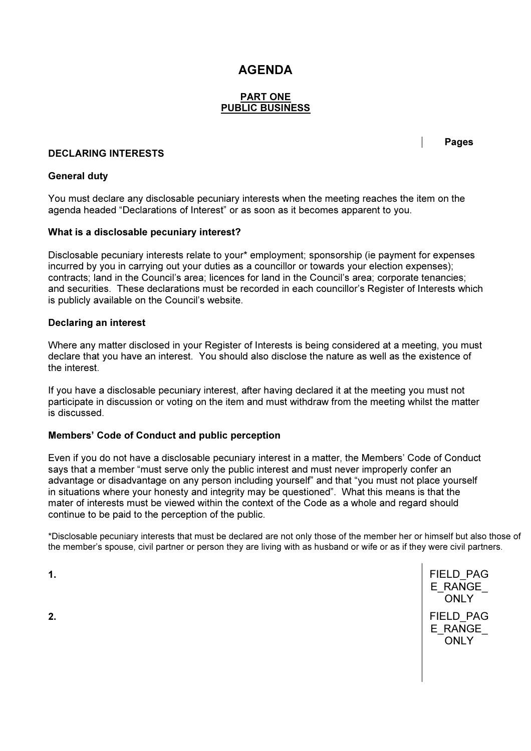### AGENDA

#### PART ONE PUBLIC BUSINESS

#### DECLARING INTERESTS

Pages

#### General duty

You must declare any disclosable pecuniary interests when the meeting reaches the item on the agenda headed "Declarations of Interest" or as soon as it becomes apparent to you.

#### What is a disclosable pecuniary interest?

Disclosable pecuniary interests relate to your\* employment; sponsorship (ie payment for expenses incurred by you in carrying out your duties as a councillor or towards your election expenses); contracts; land in the Council's area; licences for land in the Council's area; corporate tenancies; and securities. These declarations must be recorded in each councillor's Register of Interests which is publicly available on the Council's website.

#### Declaring an interest

Where any matter disclosed in your Register of Interests is being considered at a meeting, you must declare that you have an interest. You should also disclose the nature as well as the existence of the interest.

If you have a disclosable pecuniary interest, after having declared it at the meeting you must not participate in discussion or voting on the item and must withdraw from the meeting whilst the matter is discussed.

#### Members' Code of Conduct and public perception

Even if you do not have a disclosable pecuniary interest in a matter, the Members' Code of Conduct says that a member "must serve only the public interest and must never improperly confer an advantage or disadvantage on any person including yourself" and that "you must not place yourself in situations where your honesty and integrity may be questioned". What this means is that the mater of interests must be viewed within the context of the Code as a whole and regard should continue to be paid to the perception of the public.

\*Disclosable pecuniary interests that must be declared are not only those of the member her or himself but also those of the member's spouse, civil partner or person they are living with as husband or wife or as if they were civil partners.

1. The contract of the contract of the contract of the contract of the contract of the contract of the contract of the contract of the contract of the contract of the contract of the contract of the contract of the contrac E\_RANGE **ONLY** 2. **Example 2. Properties and the contract of the contract of the contract of the contract of the contract of the contract of the contract of the contract of the contract of the contract of the contract of the contract o** E\_RANGE ONLY